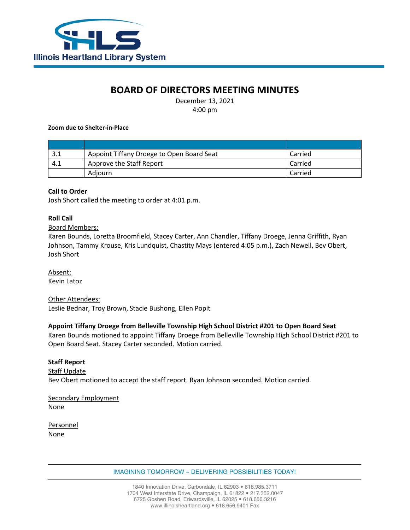

# **BOARD OF DIRECTORS MEETING MINUTES**

December 13, 2021 4:00 pm

#### **Zoom due to Shelter-in-Place**

| ے . | Appoint Tiffany Droege to Open Board Seat | Carried |
|-----|-------------------------------------------|---------|
| 4.1 | Approve the Staff Report                  | Carried |
|     | Adiourn                                   | Carried |

### **Call to Order**

Josh Short called the meeting to order at 4:01 p.m.

### **Roll Call**

### Board Members:

Karen Bounds, Loretta Broomfield, Stacey Carter, Ann Chandler, Tiffany Droege, Jenna Griffith, Ryan Johnson, Tammy Krouse, Kris Lundquist, Chastity Mays (entered 4:05 p.m.), Zach Newell, Bev Obert, Josh Short

Absent: Kevin Latoz

#### Other Attendees:

Leslie Bednar, Troy Brown, Stacie Bushong, Ellen Popit

### **Appoint Tiffany Droege from Belleville Township High School District #201 to Open Board Seat**

Karen Bounds motioned to appoint Tiffany Droege from Belleville Township High School District #201 to Open Board Seat. Stacey Carter seconded. Motion carried.

#### **Staff Report**

**Staff Update** Bev Obert motioned to accept the staff report. Ryan Johnson seconded. Motion carried.

Secondary Employment None

Personnel None

IMAGINING TOMORROW ~ DELIVERING POSSIBILITIES TODAY!